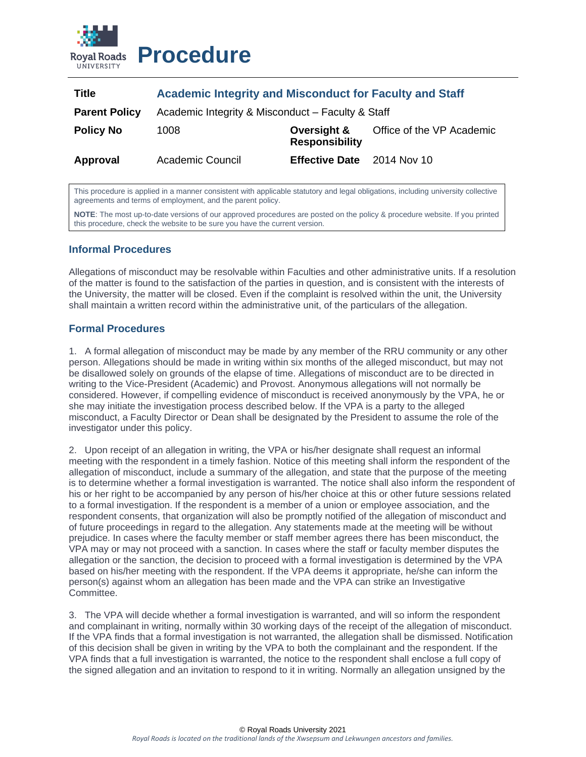

# **Procedure**

| <b>Title</b>         | <b>Academic Integrity and Misconduct for Faculty and Staff</b> |                                      |                           |
|----------------------|----------------------------------------------------------------|--------------------------------------|---------------------------|
| <b>Parent Policy</b> | Academic Integrity & Misconduct - Faculty & Staff              |                                      |                           |
| <b>Policy No</b>     | 1008                                                           | Oversight &<br><b>Responsibility</b> | Office of the VP Academic |
| Approval             | <b>Academic Council</b>                                        | <b>Effective Date</b> 2014 Nov 10    |                           |

This procedure is applied in a manner consistent with applicable statutory and legal obligations, including university collective agreements and terms of employment, and the parent policy.

**NOTE**: The most up-to-date versions of our approved procedures are posted on the policy & procedure website. If you printed this procedure, check the website to be sure you have the current version.

# **Informal Procedures**

Allegations of misconduct may be resolvable within Faculties and other administrative units. If a resolution of the matter is found to the satisfaction of the parties in question, and is consistent with the interests of the University, the matter will be closed. Even if the complaint is resolved within the unit, the University shall maintain a written record within the administrative unit, of the particulars of the allegation.

# **Formal Procedures**

1. A formal allegation of misconduct may be made by any member of the RRU community or any other person. Allegations should be made in writing within six months of the alleged misconduct, but may not be disallowed solely on grounds of the elapse of time. Allegations of misconduct are to be directed in writing to the Vice-President (Academic) and Provost. Anonymous allegations will not normally be considered. However, if compelling evidence of misconduct is received anonymously by the VPA, he or she may initiate the investigation process described below. If the VPA is a party to the alleged misconduct, a Faculty Director or Dean shall be designated by the President to assume the role of the investigator under this policy.

2. Upon receipt of an allegation in writing, the VPA or his/her designate shall request an informal meeting with the respondent in a timely fashion. Notice of this meeting shall inform the respondent of the allegation of misconduct, include a summary of the allegation, and state that the purpose of the meeting is to determine whether a formal investigation is warranted. The notice shall also inform the respondent of his or her right to be accompanied by any person of his/her choice at this or other future sessions related to a formal investigation. If the respondent is a member of a union or employee association, and the respondent consents, that organization will also be promptly notified of the allegation of misconduct and of future proceedings in regard to the allegation. Any statements made at the meeting will be without prejudice. In cases where the faculty member or staff member agrees there has been misconduct, the VPA may or may not proceed with a sanction. In cases where the staff or faculty member disputes the allegation or the sanction, the decision to proceed with a formal investigation is determined by the VPA based on his/her meeting with the respondent. If the VPA deems it appropriate, he/she can inform the person(s) against whom an allegation has been made and the VPA can strike an Investigative Committee.

3. The VPA will decide whether a formal investigation is warranted, and will so inform the respondent and complainant in writing, normally within 30 working days of the receipt of the allegation of misconduct. If the VPA finds that a formal investigation is not warranted, the allegation shall be dismissed. Notification of this decision shall be given in writing by the VPA to both the complainant and the respondent. If the VPA finds that a full investigation is warranted, the notice to the respondent shall enclose a full copy of the signed allegation and an invitation to respond to it in writing. Normally an allegation unsigned by the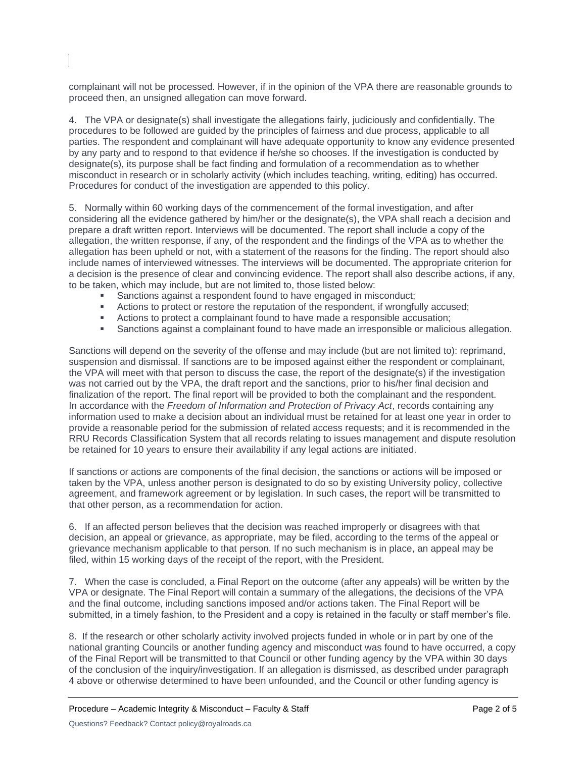complainant will not be processed. However, if in the opinion of the VPA there are reasonable grounds to proceed then, an unsigned allegation can move forward.

4. The VPA or designate(s) shall investigate the allegations fairly, judiciously and confidentially. The procedures to be followed are guided by the principles of fairness and due process, applicable to all parties. The respondent and complainant will have adequate opportunity to know any evidence presented by any party and to respond to that evidence if he/she so chooses. If the investigation is conducted by designate(s), its purpose shall be fact finding and formulation of a recommendation as to whether misconduct in research or in scholarly activity (which includes teaching, writing, editing) has occurred. Procedures for conduct of the investigation are appended to this policy.

5. Normally within 60 working days of the commencement of the formal investigation, and after considering all the evidence gathered by him/her or the designate(s), the VPA shall reach a decision and prepare a draft written report. Interviews will be documented. The report shall include a copy of the allegation, the written response, if any, of the respondent and the findings of the VPA as to whether the allegation has been upheld or not, with a statement of the reasons for the finding. The report should also include names of interviewed witnesses. The interviews will be documented. The appropriate criterion for a decision is the presence of clear and convincing evidence. The report shall also describe actions, if any, to be taken, which may include, but are not limited to, those listed below:

- Sanctions against a respondent found to have engaged in misconduct;
- **•** Actions to protect or restore the reputation of the respondent, if wrongfully accused;
- Actions to protect a complainant found to have made a responsible accusation:
- Sanctions against a complainant found to have made an irresponsible or malicious allegation.

Sanctions will depend on the severity of the offense and may include (but are not limited to): reprimand, suspension and dismissal. If sanctions are to be imposed against either the respondent or complainant, the VPA will meet with that person to discuss the case, the report of the designate(s) if the investigation was not carried out by the VPA, the draft report and the sanctions, prior to his/her final decision and finalization of the report. The final report will be provided to both the complainant and the respondent. In accordance with the *Freedom of Information and Protection of Privacy Act*, records containing any information used to make a decision about an individual must be retained for at least one year in order to provide a reasonable period for the submission of related access requests; and it is recommended in the RRU Records Classification System that all records relating to issues management and dispute resolution be retained for 10 years to ensure their availability if any legal actions are initiated.

If sanctions or actions are components of the final decision, the sanctions or actions will be imposed or taken by the VPA, unless another person is designated to do so by existing University policy, collective agreement, and framework agreement or by legislation. In such cases, the report will be transmitted to that other person, as a recommendation for action.

6. If an affected person believes that the decision was reached improperly or disagrees with that decision, an appeal or grievance, as appropriate, may be filed, according to the terms of the appeal or grievance mechanism applicable to that person. If no such mechanism is in place, an appeal may be filed, within 15 working days of the receipt of the report, with the President.

7. When the case is concluded, a Final Report on the outcome (after any appeals) will be written by the VPA or designate. The Final Report will contain a summary of the allegations, the decisions of the VPA and the final outcome, including sanctions imposed and/or actions taken. The Final Report will be submitted, in a timely fashion, to the President and a copy is retained in the faculty or staff member's file.

8. If the research or other scholarly activity involved projects funded in whole or in part by one of the national granting Councils or another funding agency and misconduct was found to have occurred, a copy of the Final Report will be transmitted to that Council or other funding agency by the VPA within 30 days of the conclusion of the inquiry/investigation. If an allegation is dismissed, as described under paragraph 4 above or otherwise determined to have been unfounded, and the Council or other funding agency is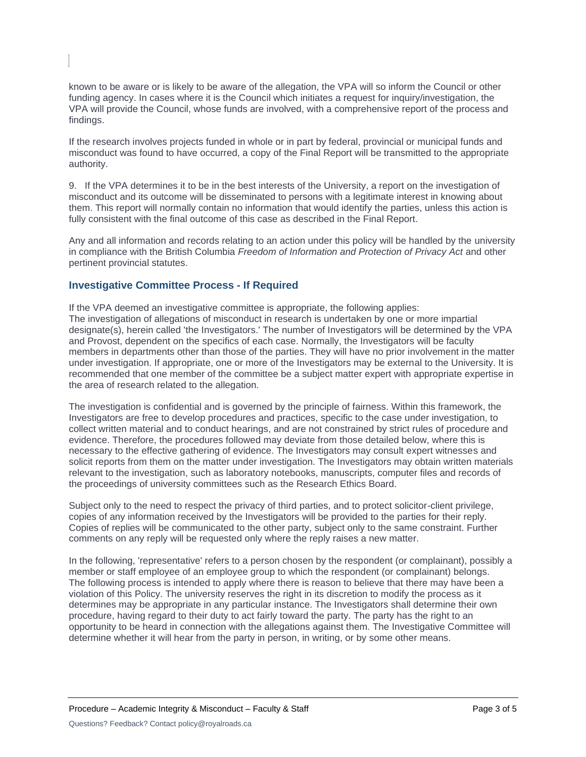known to be aware or is likely to be aware of the allegation, the VPA will so inform the Council or other funding agency. In cases where it is the Council which initiates a request for inquiry/investigation, the VPA will provide the Council, whose funds are involved, with a comprehensive report of the process and findings.

If the research involves projects funded in whole or in part by federal, provincial or municipal funds and misconduct was found to have occurred, a copy of the Final Report will be transmitted to the appropriate authority.

9. If the VPA determines it to be in the best interests of the University, a report on the investigation of misconduct and its outcome will be disseminated to persons with a legitimate interest in knowing about them. This report will normally contain no information that would identify the parties, unless this action is fully consistent with the final outcome of this case as described in the Final Report.

Any and all information and records relating to an action under this policy will be handled by the university in compliance with the British Columbia *Freedom of Information and Protection of Privacy Act* and other pertinent provincial statutes.

### **Investigative Committee Process - If Required**

If the VPA deemed an investigative committee is appropriate, the following applies: The investigation of allegations of misconduct in research is undertaken by one or more impartial designate(s), herein called 'the Investigators.' The number of Investigators will be determined by the VPA and Provost, dependent on the specifics of each case. Normally, the Investigators will be faculty members in departments other than those of the parties. They will have no prior involvement in the matter under investigation. If appropriate, one or more of the Investigators may be external to the University. It is recommended that one member of the committee be a subject matter expert with appropriate expertise in the area of research related to the allegation.

The investigation is confidential and is governed by the principle of fairness. Within this framework, the Investigators are free to develop procedures and practices, specific to the case under investigation, to collect written material and to conduct hearings, and are not constrained by strict rules of procedure and evidence. Therefore, the procedures followed may deviate from those detailed below, where this is necessary to the effective gathering of evidence. The Investigators may consult expert witnesses and solicit reports from them on the matter under investigation. The Investigators may obtain written materials relevant to the investigation, such as laboratory notebooks, manuscripts, computer files and records of the proceedings of university committees such as the Research Ethics Board.

Subject only to the need to respect the privacy of third parties, and to protect solicitor-client privilege, copies of any information received by the Investigators will be provided to the parties for their reply. Copies of replies will be communicated to the other party, subject only to the same constraint. Further comments on any reply will be requested only where the reply raises a new matter.

In the following, 'representative' refers to a person chosen by the respondent (or complainant), possibly a member or staff employee of an employee group to which the respondent (or complainant) belongs. The following process is intended to apply where there is reason to believe that there may have been a violation of this Policy. The university reserves the right in its discretion to modify the process as it determines may be appropriate in any particular instance. The Investigators shall determine their own procedure, having regard to their duty to act fairly toward the party. The party has the right to an opportunity to be heard in connection with the allegations against them. The Investigative Committee will determine whether it will hear from the party in person, in writing, or by some other means.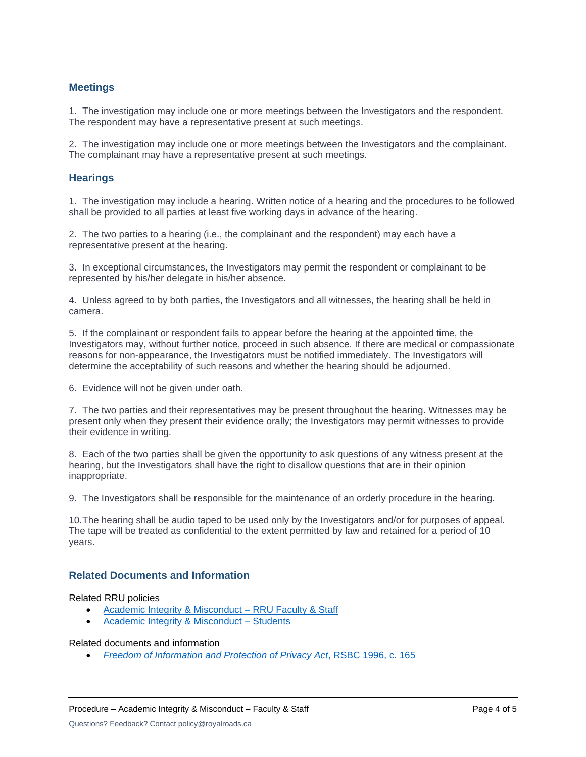# **Meetings**

1. The investigation may include one or more meetings between the Investigators and the respondent. The respondent may have a representative present at such meetings.

2. The investigation may include one or more meetings between the Investigators and the complainant. The complainant may have a representative present at such meetings.

### **Hearings**

1. The investigation may include a hearing. Written notice of a hearing and the procedures to be followed shall be provided to all parties at least five working days in advance of the hearing.

2. The two parties to a hearing (i.e., the complainant and the respondent) may each have a representative present at the hearing.

3. In exceptional circumstances, the Investigators may permit the respondent or complainant to be represented by his/her delegate in his/her absence.

4. Unless agreed to by both parties, the Investigators and all witnesses, the hearing shall be held in camera.

5. If the complainant or respondent fails to appear before the hearing at the appointed time, the Investigators may, without further notice, proceed in such absence. If there are medical or compassionate reasons for non-appearance, the Investigators must be notified immediately. The Investigators will determine the acceptability of such reasons and whether the hearing should be adjourned.

6. Evidence will not be given under oath.

7. The two parties and their representatives may be present throughout the hearing. Witnesses may be present only when they present their evidence orally; the Investigators may permit witnesses to provide their evidence in writing.

8. Each of the two parties shall be given the opportunity to ask questions of any witness present at the hearing, but the Investigators shall have the right to disallow questions that are in their opinion inappropriate.

9. The Investigators shall be responsible for the maintenance of an orderly procedure in the hearing.

10.The hearing shall be audio taped to be used only by the Investigators and/or for purposes of appeal. The tape will be treated as confidential to the extent permitted by law and retained for a period of 10 years.

# **Related Documents and Information**

#### Related RRU policies

- [Academic Integrity & Misconduct –](https://www.royalroads.ca/policy/academic-integrity-and-misconduct-faculty-members-and-staff) RRU Faculty & Staff
- [Academic Integrity & Misconduct –](https://www.royalroads.ca/policy/academic-integrity-and-misconduct-students) Students

Related documents and information

• *[Freedom of Information and Protection of Privacy Act](https://www.bclaws.gov.bc.ca/civix/content/complete/statreg/1198514681/96165/292428220/?xsl=/templates/browse.xsl)*, RSBC 1996, c. 165